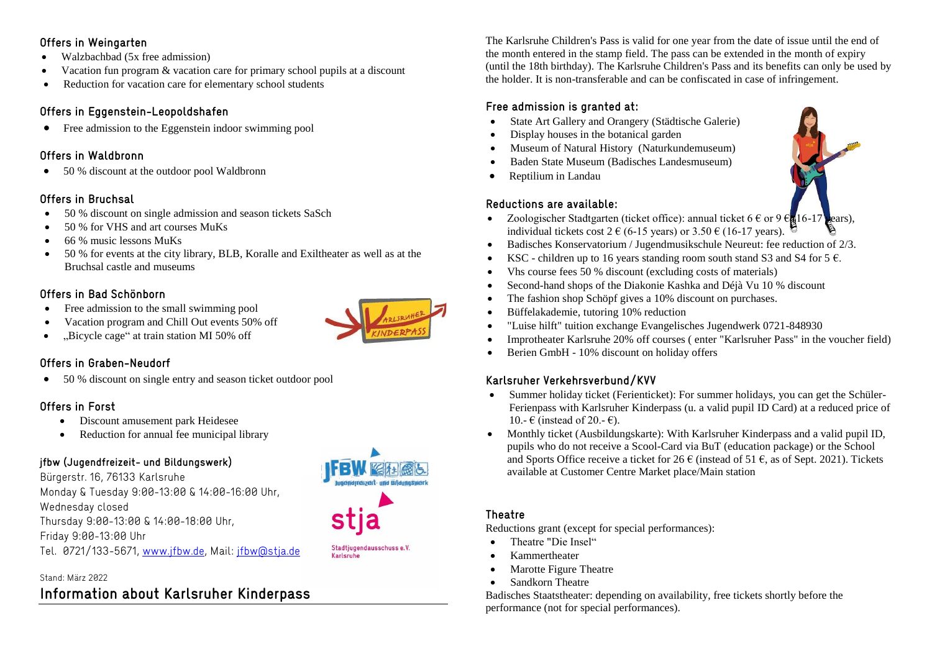### **Offers in Weingarten**

- Walzbachbad (5x free admission)
- Vacation fun program & vacation care for primary school pupils at a discount
- Reduction for vacation care for elementary school students

### **Offers in Eggenstein-Leopoldshafen**

• Free admission to the Eggenstein indoor swimming pool

### **Offers in Waldbronn**

• 50 % discount at the outdoor pool Waldbronn

## **Offers in Bruchsal**

- 50 % discount on single admission and season tickets SaSch
- 50 % for VHS and art courses MuKs
- $\bullet$  66 % music lessons MuKs
- 50 % for events at the city library, BLB, Koralle and Exiltheater as well as at the Bruchsal castle and museums

# **Offers in Bad Schönborn**

- Free admission to the small swimming pool
- Vacation program and Chill Out events 50% off
- .Bicycle cage" at train station MI 50% off

# **Offers in Graben-Neudorf**

• 50 % discount on single entry and season ticket outdoor pool

# **Offers in Forst**

- Discount amusement park Heidesee
- Reduction for annual fee municipal library

# **jfbw (Jugendfreizeit- und Bildungswerk**)

Bürgerstr. 16, 76133 Karlsruhe Monday & Tuesday 9:00-13:00 & 14:00-16:00 Uhr, Wednesday closed Thursday 9:00-13:00 & 14:00-18:00 Uhr, Friday 9:00-13:00 Uhr Tel. 0721/133-5671, [www.jfbw.de,](http://www.jfbw.de/) Mail: [jfbw@stja.de](mailto:jfbw@stja.de)

### Stand: März 2022

# **Information about Karlsruher Kinderpass**

The Karlsruhe Children's Pass is valid for one year from the date of issue until the end of the month entered in the stamp field. The pass can be extended in the month of expiry (until the 18th birthday). The Karlsruhe Children's Pass and its benefits can only be used by the holder. It is non-transferable and can be confiscated in case of infringement.

### **Free admission is granted at:**

- State Art Gallery and Orangery (Städtische Galerie)
- Display houses in the botanical garden
- Museum of Natural History (Naturkundemuseum)
- Baden State Museum (Badisches Landesmuseum)
- Reptilium in Landau

### **Reductions are available:**

- Zoologischer Stadtgarten (ticket office): annual ticket 6  $\epsilon$  or 9  $\epsilon_{\rm g}$ 16-17 years), individual tickets cost 2  $\epsilon$  (6-15 years) or 3.50  $\epsilon$  (16-17 years).
- $\bullet$  Badisches Konservatorium / Jugendmusikschule Neureut: fee reduction of 2/3.
- KSC children up to 16 years standing room south stand S3 and S4 for 5  $\epsilon$ .
- Vhs course fees 50 % discount (excluding costs of materials)
- Second-hand shops of the Diakonie Kashka and Déjà Vu 10 % discount
- The fashion shop Schöpf gives a 10% discount on purchases.
- Büffelakademie, tutoring 10% reduction
- "Luise hilft" tuition exchange Evangelisches Jugendwerk 0721-848930
- Improtheater Karlsruhe 20% off courses ( enter "Karlsruher Pass" in the voucher field)
- Berien GmbH 10% discount on holiday offers

# **Karlsruher Verkehrsverbund/KVV**

- Summer holiday ticket (Ferienticket): For summer holidays, you can get the Schüler-Ferienpass with Karlsruher Kinderpass (u. a valid pupil ID Card) at a reduced price of 10.-  $\in$  (instead of 20.-  $\in$ ).
- Monthly ticket (Ausbildungskarte): With Karlsruher Kinderpass and a valid pupil ID, pupils who do not receive a Scool-Card via BuT (education package) or the School and Sports Office receive a ticket for 26  $\epsilon$  (instead of 51  $\epsilon$ , as of Sept. 2021). Tickets available at Customer Centre Market place/Main station

### **Theatre**

Reductions grant (except for special performances):

- Theatre "Die Insel"
- Kammertheater
- Marotte Figure Theatre
- Sandkorn Theatre

Badisches Staatstheater: depending on availability, free tickets shortly before the performance (not for special performances).



Stadtjugendausschuss e.V.

Karleruhe